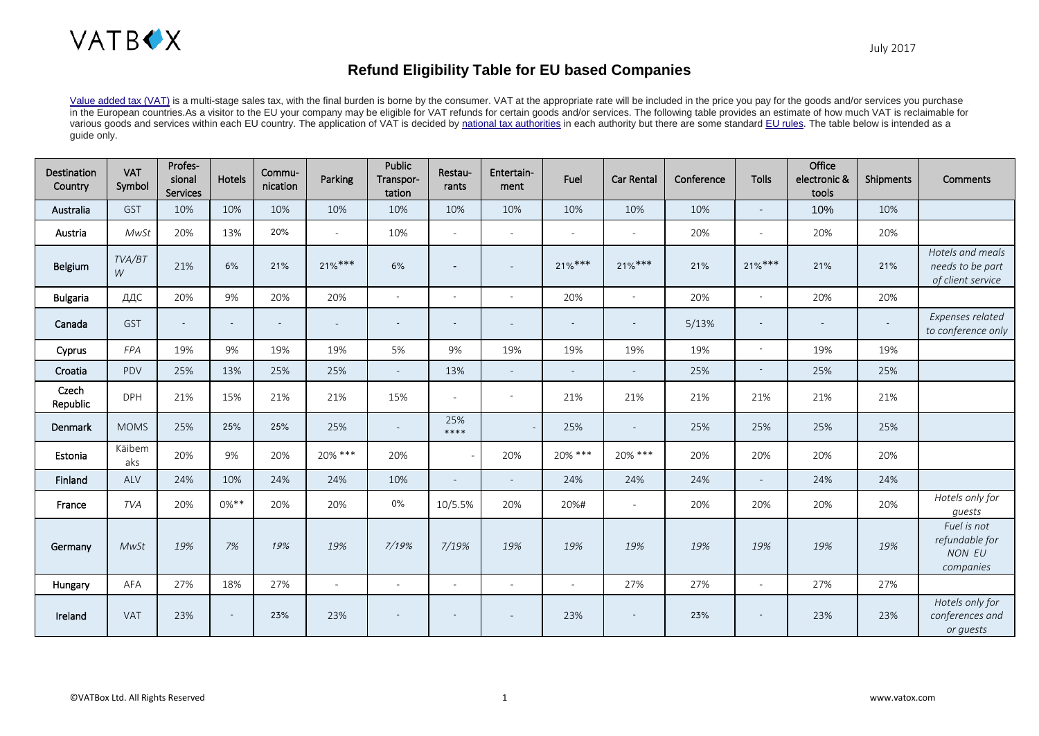

## **Refund Eligibility Table for EU based Companies**

[Value added tax \(VAT\)](https://en.wikipedia.org/wiki/Value-added_tax) is a multi-stage sales tax, with the final burden is borne by the consumer. VAT at the appropriate rate will be included in the price you pay for the goods and/or services you purchase in the European countries.As a visitor to the EU your company may be eligible for VAT refunds for certain goods and/or services. The following table provides an estimate of how much VAT is reclaimable for various goods and services within each EU country. The application of VAT is decided by <u>[national tax authorities](https://ec.europa.eu/taxation_customs/national-tax-websites_en)</u> in each authority but there are some standard <u>EU rules</u>. The table below is intended as a guide only.

| Destination<br>Country | VAT<br>Symbol | Profes-<br>sional<br>Services | Hotels                   | Commu-<br>nication | Parking   | Public<br>Transpor-<br>tation | Restau-<br>rants | Entertain-<br>ment       | Fuel     | <b>Car Rental</b>        | Conference | <b>Tolls</b>             | Office<br>electronic &<br>tools | Shipments | Comments                                                  |
|------------------------|---------------|-------------------------------|--------------------------|--------------------|-----------|-------------------------------|------------------|--------------------------|----------|--------------------------|------------|--------------------------|---------------------------------|-----------|-----------------------------------------------------------|
| Australia              | <b>GST</b>    | 10%                           | 10%                      | 10%                | 10%       | 10%                           | 10%              | 10%                      | 10%      | 10%                      | 10%        | $\overline{a}$           | 10%                             | 10%       |                                                           |
| Austria                | <b>MwSt</b>   | 20%                           | 13%                      | 20%                | $\sim$    | 10%                           | $\sim$           | $\sim$                   | $\sim$   | $\overline{\phantom{a}}$ | 20%        |                          | 20%                             | 20%       |                                                           |
| Belgium                | TVA/BT<br>W   | 21%                           | 6%                       | 21%                | $21\%***$ | 6%                            |                  |                          | $21%***$ | $21\%***$                | 21%        | $21\%***$                | 21%                             | 21%       | Hotels and meals<br>needs to be part<br>of client service |
| <b>Bulgaria</b>        | ДДС           | 20%                           | 9%                       | 20%                | 20%       | $\mathbf{r}$                  | $\sim$           | $\sim$                   | 20%      | $\blacksquare$           | 20%        | $\sim$                   | 20%                             | 20%       |                                                           |
| Canada                 | <b>GST</b>    | $\overline{\phantom{a}}$      |                          |                    |           |                               |                  |                          |          | $\blacksquare$           | 5/13%      |                          |                                 | $\sim$    | Expenses related<br>to conference only                    |
| Cyprus                 | <b>FPA</b>    | 19%                           | 9%                       | 19%                | 19%       | 5%                            | 9%               | 19%                      | 19%      | 19%                      | 19%        |                          | 19%                             | 19%       |                                                           |
| Croatia                | PDV           | 25%                           | 13%                      | 25%                | 25%       | $\overline{\phantom{a}}$      | 13%              | $\sim$                   |          |                          | 25%        |                          | 25%                             | 25%       |                                                           |
| Czech<br>Republic      | <b>DPH</b>    | 21%                           | 15%                      | 21%                | 21%       | 15%                           |                  | $\overline{\phantom{a}}$ | 21%      | 21%                      | 21%        | 21%                      | 21%                             | 21%       |                                                           |
| Denmark                | <b>MOMS</b>   | 25%                           | 25%                      | 25%                | 25%       |                               | 25%<br>****      | $\sim$                   | 25%      |                          | 25%        | 25%                      | 25%                             | 25%       |                                                           |
| Estonia                | Käibem<br>aks | 20%                           | 9%                       | 20%                | 20% ***   | 20%                           |                  | 20%                      | 20% ***  | 20% ***                  | 20%        | 20%                      | 20%                             | 20%       |                                                           |
| Finland                | ALV           | 24%                           | 10%                      | 24%                | 24%       | 10%                           |                  | $\overline{\phantom{a}}$ | 24%      | 24%                      | 24%        |                          | 24%                             | 24%       |                                                           |
| France                 | <b>TVA</b>    | 20%                           | $0\%$ **                 | 20%                | 20%       | $0\%$                         | 10/5.5%          | 20%                      | 20%#     |                          | 20%        | 20%                      | 20%                             | 20%       | Hotels only for<br>quests                                 |
| Germany                | <b>MwSt</b>   | 19%                           | 7%                       | 19%                | 19%       | 7/19%                         | 7/19%            | 19%                      | 19%      | 19%                      | 19%        | 19%                      | 19%                             | 19%       | Fuel is not<br>refundable for<br>NON EU<br>companies      |
| Hungary                | AFA           | 27%                           | 18%                      | 27%                | $\sim$    | $\overline{a}$                | $\sim$           | $\sim$                   | $\sim$   | 27%                      | 27%        | $\sim$                   | 27%                             | 27%       |                                                           |
| Ireland                | <b>VAT</b>    | 23%                           | $\overline{\phantom{a}}$ | 23%                | 23%       |                               |                  | $\overline{\phantom{a}}$ | 23%      | $\overline{\phantom{a}}$ | 23%        | $\overline{\phantom{a}}$ | 23%                             | 23%       | Hotels only for<br>conferences and<br>or guests           |